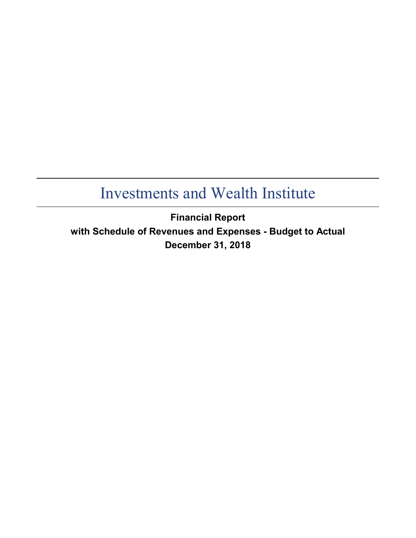**Financial Report with Schedule of Revenues and Expenses - Budget to Actual December 31, 2018**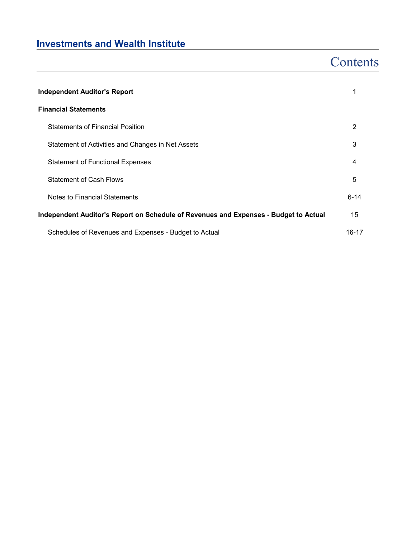## **Contents**

| <b>Independent Auditor's Report</b>                                                  |          |  |  |  |  |
|--------------------------------------------------------------------------------------|----------|--|--|--|--|
| <b>Financial Statements</b>                                                          |          |  |  |  |  |
| <b>Statements of Financial Position</b>                                              | 2        |  |  |  |  |
| Statement of Activities and Changes in Net Assets                                    | 3        |  |  |  |  |
| <b>Statement of Functional Expenses</b>                                              | 4        |  |  |  |  |
| <b>Statement of Cash Flows</b>                                                       | 5        |  |  |  |  |
| Notes to Financial Statements                                                        | $6 - 14$ |  |  |  |  |
| Independent Auditor's Report on Schedule of Revenues and Expenses - Budget to Actual | 15       |  |  |  |  |
| Schedules of Revenues and Expenses - Budget to Actual                                | 16-17    |  |  |  |  |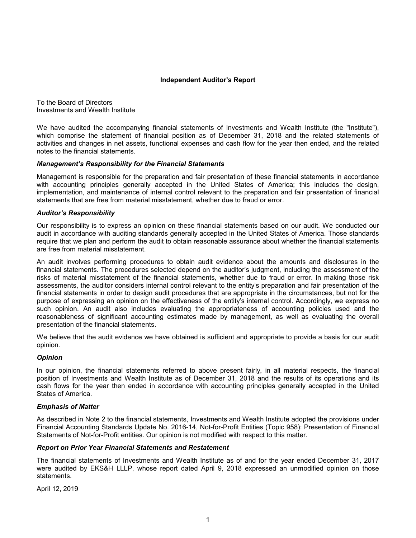#### **Independent Auditor's Report**

To the Board of Directors Investments and Wealth Institute

We have audited the accompanying financial statements of Investments and Wealth Institute (the "Institute"), which comprise the statement of financial position as of December 31, 2018 and the related statements of activities and changes in net assets, functional expenses and cash flow for the year then ended, and the related notes to the financial statements.

### *Management's Responsibility for the Financial Statements*

Management is responsible for the preparation and fair presentation of these financial statements in accordance with accounting principles generally accepted in the United States of America; this includes the design, implementation, and maintenance of internal control relevant to the preparation and fair presentation of financial statements that are free from material misstatement, whether due to fraud or error.

#### *Auditor's Responsibility*

Our responsibility is to express an opinion on these financial statements based on our audit. We conducted our audit in accordance with auditing standards generally accepted in the United States of America. Those standards require that we plan and perform the audit to obtain reasonable assurance about whether the financial statements are free from material misstatement.

An audit involves performing procedures to obtain audit evidence about the amounts and disclosures in the financial statements. The procedures selected depend on the auditor's judgment, including the assessment of the risks of material misstatement of the financial statements, whether due to fraud or error. In making those risk assessments, the auditor considers internal control relevant to the entity's preparation and fair presentation of the financial statements in order to design audit procedures that are appropriate in the circumstances, but not for the purpose of expressing an opinion on the effectiveness of the entity's internal control. Accordingly, we express no such opinion. An audit also includes evaluating the appropriateness of accounting policies used and the reasonableness of significant accounting estimates made by management, as well as evaluating the overall presentation of the financial statements.

We believe that the audit evidence we have obtained is sufficient and appropriate to provide a basis for our audit opinion.

### *Opinion*

In our opinion, the financial statements referred to above present fairly, in all material respects, the financial position of Investments and Wealth Institute as of December 31, 2018 and the results of its operations and its cash flows for the year then ended in accordance with accounting principles generally accepted in the United States of America.

### *Emphasis of Matter*

As described in Note 2 to the financial statements, Investments and Wealth Institute adopted the provisions under Financial Accounting Standards Update No. 2016-14, Not-for-Profit Entities (Topic 958): Presentation of Financial Statements of Not-for-Profit entities. Our opinion is not modified with respect to this matter.

#### *Report on Prior Year Financial Statements and Restatement*

The financial statements of Investments and Wealth Institute as of and for the year ended December 31, 2017 were audited by EKS&H LLLP, whose report dated April 9, 2018 expressed an unmodified opinion on those statements.

April 12, 2019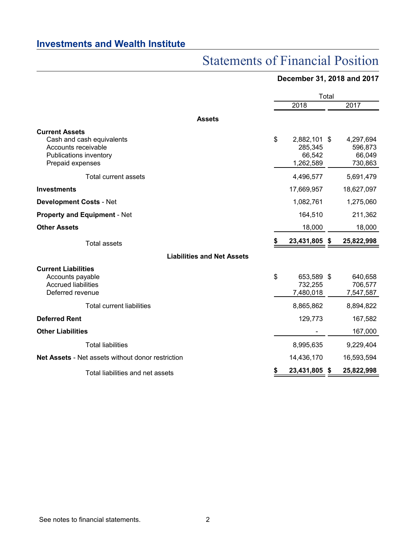# Statements of Financial Position

## **December 31, 2018 and 2017**

|                                                                                                                         |    |                                                | Total |                                           |
|-------------------------------------------------------------------------------------------------------------------------|----|------------------------------------------------|-------|-------------------------------------------|
|                                                                                                                         |    | 2018                                           |       | 2017                                      |
| <b>Assets</b>                                                                                                           |    |                                                |       |                                           |
| <b>Current Assets</b><br>Cash and cash equivalents<br>Accounts receivable<br>Publications inventory<br>Prepaid expenses | \$ | 2,882,101 \$<br>285,345<br>66,542<br>1,262,589 |       | 4,297,694<br>596,873<br>66,049<br>730,863 |
| Total current assets                                                                                                    |    | 4,496,577                                      |       | 5,691,479                                 |
| <b>Investments</b>                                                                                                      |    | 17,669,957                                     |       | 18,627,097                                |
| <b>Development Costs - Net</b>                                                                                          |    | 1,082,761                                      |       | 1,275,060                                 |
| <b>Property and Equipment - Net</b>                                                                                     |    | 164,510                                        |       | 211,362                                   |
| <b>Other Assets</b>                                                                                                     |    | 18,000                                         |       | 18,000                                    |
| <b>Total assets</b>                                                                                                     | S  | 23,431,805 \$                                  |       | 25,822,998                                |
| <b>Liabilities and Net Assets</b>                                                                                       |    |                                                |       |                                           |
| <b>Current Liabilities</b><br>Accounts payable<br><b>Accrued liabilities</b><br>Deferred revenue                        | \$ | 653,589 \$<br>732,255<br>7,480,018             |       | 640,658<br>706,577<br>7,547,587           |
| <b>Total current liabilities</b>                                                                                        |    | 8,865,862                                      |       | 8,894,822                                 |
| <b>Deferred Rent</b>                                                                                                    |    | 129,773                                        |       | 167,582                                   |
| <b>Other Liabilities</b>                                                                                                |    |                                                |       | 167,000                                   |
| <b>Total liabilities</b>                                                                                                |    | 8,995,635                                      |       | 9,229,404                                 |
| Net Assets - Net assets without donor restriction                                                                       |    | 14,436,170                                     |       | 16,593,594                                |
| Total liabilities and net assets                                                                                        |    | 23,431,805                                     | \$.   | 25,822,998                                |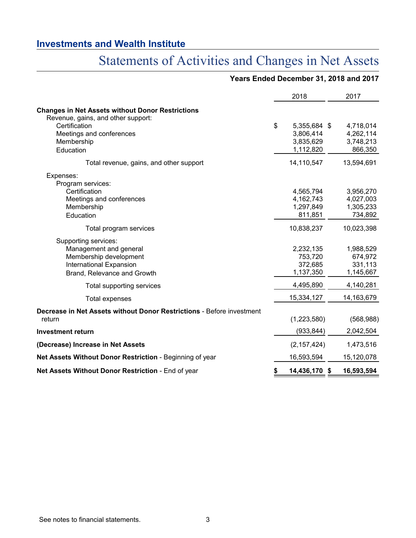# Statements of Activities and Changes in Net Assets

|                                                                                               | <b>ENGLA DUCUNINGI 01, 2010 GNG</b> |              |
|-----------------------------------------------------------------------------------------------|-------------------------------------|--------------|
|                                                                                               | 2018                                | 2017         |
| <b>Changes in Net Assets without Donor Restrictions</b><br>Revenue, gains, and other support: |                                     |              |
| Certification                                                                                 | \$<br>5,355,684 \$                  | 4,718,014    |
| Meetings and conferences                                                                      | 3,806,414                           | 4,262,114    |
| Membership                                                                                    | 3,835,629                           | 3,748,213    |
| Education                                                                                     | 1,112,820                           | 866,350      |
| Total revenue, gains, and other support                                                       | 14,110,547                          | 13,594,691   |
| Expenses:                                                                                     |                                     |              |
| Program services:                                                                             |                                     |              |
| Certification                                                                                 | 4,565,794                           | 3,956,270    |
| Meetings and conferences                                                                      | 4,162,743                           | 4,027,003    |
| Membership                                                                                    | 1,297,849                           | 1,305,233    |
| Education                                                                                     | 811,851                             | 734,892      |
| Total program services                                                                        | 10,838,237                          | 10,023,398   |
| Supporting services:                                                                          |                                     |              |
| Management and general                                                                        | 2,232,135                           | 1,988,529    |
| Membership development                                                                        | 753,720                             | 674,972      |
| International Expansion                                                                       | 372,685                             | 331,113      |
| Brand, Relevance and Growth                                                                   | 1,137,350                           | 1,145,667    |
| Total supporting services                                                                     | 4,495,890                           | 4,140,281    |
| <b>Total expenses</b>                                                                         | 15,334,127                          | 14, 163, 679 |
| Decrease in Net Assets without Donor Restrictions - Before investment                         |                                     |              |
| return                                                                                        | (1,223,580)                         | (568, 988)   |
| <b>Investment return</b>                                                                      | (933, 844)                          | 2,042,504    |
| (Decrease) Increase in Net Assets                                                             | (2, 157, 424)                       | 1,473,516    |
| Net Assets Without Donor Restriction - Beginning of year                                      | 16,593,594                          | 15,120,078   |
| Net Assets Without Donor Restriction - End of year                                            | \$<br>14,436,170 \$                 | 16,593,594   |

## **Years Ended December 31, 2018 and 2017**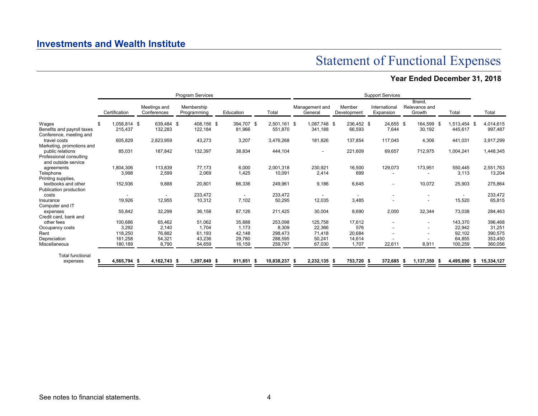Statement of Functional Expenses

## **Year Ended December 31, 2018**

|                                                       |                    |                             | Program Services          |            |               | <b>Support Services</b> |                           |  |                       |  |                            |     |                                   |  |              |    |            |
|-------------------------------------------------------|--------------------|-----------------------------|---------------------------|------------|---------------|-------------------------|---------------------------|--|-----------------------|--|----------------------------|-----|-----------------------------------|--|--------------|----|------------|
|                                                       | Certification      | Meetings and<br>Conferences | Membership<br>Programming | Education  | Total         |                         | Management and<br>General |  | Member<br>Development |  | International<br>Expansion |     | Brand.<br>Relevance and<br>Growth |  | Total        |    | Total      |
| Wages                                                 | \$<br>1.058.814 \$ | 639.484 \$                  | 408,156 \$                | 394.707 \$ | 2,501,161 \$  |                         | 1.087.748 \$              |  | 236.452 \$            |  | 24,655 \$                  |     | 164.599 \$                        |  | 1.513.454 \$ |    | 4,014,615  |
| Benefits and payroll taxes<br>Conference, meeting and | 215.437            | 132,283                     | 122,184                   | 81,966     | 551,870       |                         | 341,188                   |  | 66,593                |  | 7,644                      |     | 30,192                            |  | 445,617      |    | 997,487    |
| travel costs                                          | 605,829            | 2,823,959                   | 43,273                    | 3,207      | 3,476,268     |                         | 181,826                   |  | 137,854               |  | 117,045                    |     | 4,306                             |  | 441,031      |    | 3,917,299  |
| Marketing, promotions and                             |                    |                             |                           |            |               |                         |                           |  |                       |  |                            |     |                                   |  |              |    |            |
| public relations                                      | 85,031             | 187,842                     | 132,397                   | 38,834     | 444.104       |                         | $\overline{\phantom{a}}$  |  | 221,609               |  | 69,657                     |     | 712,975                           |  | 1,004,241    |    | 1,448,345  |
| Professional consulting                               |                    |                             |                           |            |               |                         |                           |  |                       |  |                            |     |                                   |  |              |    |            |
| and outside service<br>agreements                     | 1,804,306          | 113,839                     | 77,173                    | 6,000      | 2,001,318     |                         | 230,921                   |  | 16,500                |  | 129,073                    |     | 173,951                           |  | 550,445      |    | 2,551,763  |
| Telephone                                             | 3,998              | 2,599                       | 2,069                     | 1.425      | 10,091        |                         | 2,414                     |  | 699                   |  |                            |     |                                   |  | 3.113        |    | 13,204     |
| Printing supplies,                                    |                    |                             |                           |            |               |                         |                           |  |                       |  |                            |     |                                   |  |              |    |            |
| textbooks and other                                   | 152,936            | 9,888                       | 20,801                    | 66,336     | 249,961       |                         | 9,186                     |  | 6,645                 |  | $\overline{\phantom{a}}$   |     | 10,072                            |  | 25,903       |    | 275,864    |
| Publication production                                |                    |                             |                           |            |               |                         |                           |  |                       |  |                            |     |                                   |  |              |    |            |
| costs                                                 |                    |                             | 233,472                   |            | 233.472       |                         |                           |  |                       |  |                            |     | $\overline{\phantom{a}}$          |  |              |    | 233,472    |
| Insurance<br>Computer and IT                          | 19,926             | 12,955                      | 10,312                    | 7,102      | 50,295        |                         | 12,035                    |  | 3,485                 |  |                            |     |                                   |  | 15,520       |    | 65,815     |
| expenses                                              | 55,842             | 32,299                      | 36,158                    | 87,126     | 211,425       |                         | 30,004                    |  | 8,690                 |  | 2,000                      |     | 32,344                            |  | 73,038       |    | 284,463    |
| Credit card, bank and                                 |                    |                             |                           |            |               |                         |                           |  |                       |  |                            |     |                                   |  |              |    |            |
| other fees                                            | 100,686            | 65,462                      | 51,062                    | 35,888     | 253,098       |                         | 125,758                   |  | 17,612                |  |                            |     | $\overline{\phantom{a}}$          |  | 143,370      |    | 396,468    |
| Occupancy costs                                       | 3,292              | 2,140                       | 1.704                     | 1.173      | 8,309         |                         | 22,366                    |  | 576                   |  |                            |     | $\sim$                            |  | 22,942       |    | 31,251     |
| Rent                                                  | 118,250            | 76,882                      | 61,193                    | 42,148     | 298,473       |                         | 71,418                    |  | 20,684                |  |                            |     |                                   |  | 92,102       |    | 390,575    |
| Depreciation                                          | 161,258            | 54,321                      | 43,236                    | 29,780     | 288,595       |                         | 50,241                    |  | 14,614                |  |                            |     |                                   |  | 64,855       |    | 353,450    |
| Miscellaneous                                         | 180,189            | 8,790                       | 54,659                    | 16,159     | 259,797       |                         | 67,030                    |  | 1.707                 |  | 22,611                     |     | 8,911                             |  | 100,259      |    | 360,056    |
| <b>Total functional</b>                               |                    |                             |                           |            |               |                         |                           |  |                       |  |                            |     |                                   |  |              |    |            |
| expenses                                              | 4,565,794 \$       | 4, 162, 743 \$              | 1,297,849 \$              | 811,851 \$ | 10,838,237 \$ |                         | 2,232,135 \$              |  | 753,720 \$            |  | 372,685                    | - 5 | 1,137,350 \$                      |  | 4,495,890    | s. | 15,334,127 |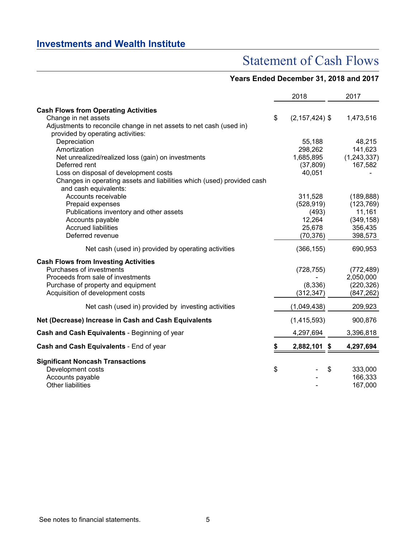## Statement of Cash Flows

## **Years Ended December 31, 2018 and 2017**

|                                                                                                 | 2018                     | 2017          |
|-------------------------------------------------------------------------------------------------|--------------------------|---------------|
| <b>Cash Flows from Operating Activities</b>                                                     |                          |               |
| Change in net assets                                                                            | \$<br>$(2, 157, 424)$ \$ | 1,473,516     |
| Adjustments to reconcile change in net assets to net cash (used in)                             |                          |               |
| provided by operating activities:                                                               |                          |               |
| Depreciation                                                                                    | 55,188                   | 48,215        |
| Amortization                                                                                    | 298,262                  | 141,623       |
| Net unrealized/realized loss (gain) on investments                                              | 1,685,895                | (1, 243, 337) |
| Deferred rent                                                                                   | (37, 809)                | 167,582       |
| Loss on disposal of development costs                                                           | 40,051                   |               |
| Changes in operating assets and liabilities which (used) provided cash<br>and cash equivalents: |                          |               |
| Accounts receivable                                                                             | 311,528                  | (189, 888)    |
| Prepaid expenses                                                                                | (528, 919)               | (123, 769)    |
| Publications inventory and other assets                                                         | (493)                    | 11,161        |
| Accounts payable                                                                                | 12,264                   | (349, 158)    |
| <b>Accrued liabilities</b>                                                                      | 25,678                   | 356,435       |
| Deferred revenue                                                                                | (70, 376)                | 398,573       |
| Net cash (used in) provided by operating activities                                             | (366, 155)               | 690,953       |
| <b>Cash Flows from Investing Activities</b>                                                     |                          |               |
| Purchases of investments                                                                        | (728, 755)               | (772, 489)    |
| Proceeds from sale of investments                                                               |                          | 2,050,000     |
| Purchase of property and equipment                                                              | (8,336)                  | (220, 326)    |
| Acquisition of development costs                                                                | (312, 347)               | (847,262)     |
| Net cash (used in) provided by investing activities                                             | (1,049,438)              | 209,923       |
| Net (Decrease) Increase in Cash and Cash Equivalents                                            | (1,415,593)              | 900,876       |
| Cash and Cash Equivalents - Beginning of year                                                   | 4,297,694                | 3,396,818     |
| Cash and Cash Equivalents - End of year                                                         | \$<br>2,882,101 \$       | 4,297,694     |
| <b>Significant Noncash Transactions</b>                                                         |                          |               |
| Development costs                                                                               | \$                       | \$<br>333,000 |
| Accounts payable                                                                                |                          | 166,333       |
| Other liabilities                                                                               |                          | 167,000       |
|                                                                                                 |                          |               |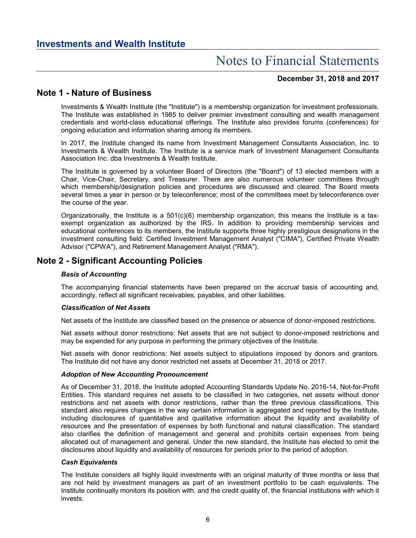### **December 31, 2018 and 2017**

## **Note 1 - Nature of Business**

Investments & Wealth Institute (the "Institute") is a membership organization for investment professionals. The Institute was established in 1985 to deliver premier investment consulting and wealth management credentials and world-class educational offerings. The Institute also provides forums (conferences) for ongoing education and information sharing among its members.

In 2017, the Institute changed its name from Investment Management Consultants Association, Inc. to Investments & Wealth Institute. The Institute is a service mark of Investment Management Consultants Association Inc. dba Investments & Wealth Institute.

The Institute is governed by a volunteer Board of Directors (the "Board") of 13 elected members with a Chair, Vice-Chair, Secretary, and Treasurer. There are also numerous volunteer committees through which membership/designation policies and procedures are discussed and cleared. The Board meets several times a year in person or by teleconference; most of the committees meet by teleconference over the course of the year.

Organizationally, the Institute is a 501(c)(6) membership organization; this means the Institute is a taxexempt organization as authorized by the IRS. In addition to providing membership services and educational conferences to its members, the Institute supports three highly prestigious designations in the investment consulting field: Certified Investment Management Analyst ("CIMA"), Certified Private Wealth Advisor ("CPWA"), and Retirement Management Analyst ("RMA").

## **Note 2 - Significant Accounting Policies**

### *Basis of Accounting*

The accompanying financial statements have been prepared on the accrual basis of accounting and, accordingly, reflect all significant receivables, payables, and other liabilities.

### *Classification of Net Assets*

Net assets of the Institute are classified based on the presence or absence of donor-imposed restrictions.

Net assets without donor restrictions: Net assets that are not subject to donor-imposed restrictions and may be expended for any purpose in performing the primary objectives of the Institute.

Net assets with donor restrictions: Net assets subject to stipulations imposed by donors and grantors. The Institute did not have any donor restricted net assets at December 31, 2018 or 2017.

### *Adoption of New Accounting Pronouncement*

As of December 31, 2018, the Institute adopted Accounting Standards Update No. 2016-14, Not-for-Profit Entities. This standard requires net assets to be classified in two categories, net assets without donor restrictions and net assets with donor restrictions, rather than the three previous classifications. This standard also requires changes in the way certain information is aggregated and reported by the Institute, including disclosures of quantitative and qualitative information about the liquidity and availability of resources and the presentation of expenses by both functional and natural classification. The standard also clarifies the definition of management and general and prohibits certain expenses from being allocated out of management and general. Under the new standard, the Institute has elected to omit the disclosures about liquidity and availability of resources for periods prior to the period of adoption.

### *Cash Equivalents*

The Institute considers all highly liquid investments with an original maturity of three months or less that are not held by investment managers as part of an investment portfolio to be cash equivalents. The Institute continually monitors its position with, and the credit quality of, the financial institutions with which it invests.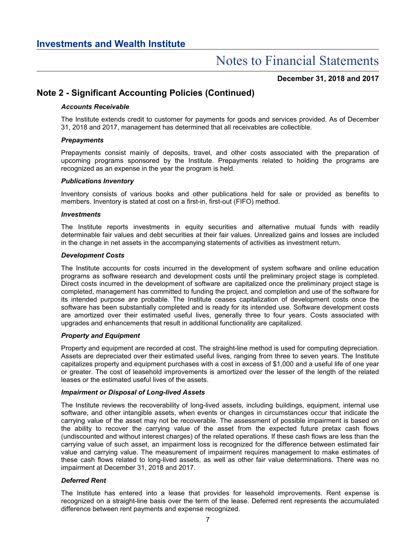**December 31, 2018 and 2017**

## **Note 2 - Significant Accounting Policies (Continued)**

### *Accounts Receivable*

The Institute extends credit to customer for payments for goods and services provided. As of December 31, 2018 and 2017, management has determined that all receivables are collectible.

### *Prepayments*

Prepayments consist mainly of deposits, travel, and other costs associated with the preparation of upcoming programs sponsored by the Institute. Prepayments related to holding the programs are recognized as an expense in the year the program is held.

### *Publications Inventory*

Inventory consists of various books and other publications held for sale or provided as benefits to members. Inventory is stated at cost on a first-in, first-out (FIFO) method.

### *Investments*

The Institute reports investments in equity securities and alternative mutual funds with readily determinable fair values and debt securities at their fair values. Unrealized gains and losses are included in the change in net assets in the accompanying statements of activities as investment return.

### *Development Costs*

The Institute accounts for costs incurred in the development of system software and online education programs as software research and development costs until the preliminary project stage is completed. Direct costs incurred in the development of software are capitalized once the preliminary project stage is completed, management has committed to funding the project, and completion and use of the software for its intended purpose are probable. The Institute ceases capitalization of development costs once the software has been substantially completed and is ready for its intended use. Software development costs are amortized over their estimated useful lives, generally three to four years. Costs associated with upgrades and enhancements that result in additional functionality are capitalized.

### *Property and Equipment*

Property and equipment are recorded at cost. The straight-line method is used for computing depreciation. Assets are depreciated over their estimated useful lives, ranging from three to seven years. The Institute capitalizes property and equipment purchases with a cost in excess of \$1,000 and a useful life of one year or greater. The cost of leasehold improvements is amortized over the lesser of the length of the related leases or the estimated useful lives of the assets.

### *Impairment or Disposal of Long-lived Assets*

The Institute reviews the recoverability of long-lived assets, including buildings, equipment, internal use software, and other intangible assets, when events or changes in circumstances occur that indicate the carrying value of the asset may not be recoverable. The assessment of possible impairment is based on the ability to recover the carrying value of the asset from the expected future pretax cash flows (undiscounted and without interest charges) of the related operations. If these cash flows are less than the carrying value of such asset, an impairment loss is recognized for the difference between estimated fair value and carrying value. The measurement of impairment requires management to make estimates of these cash flows related to long-lived assets, as well as other fair value determinations. There was no impairment at December 31, 2018 and 2017.

### *Deferred Rent*

The Institute has entered into a lease that provides for leasehold improvements. Rent expense is recognized on a straight-line basis over the term of the lease. Deferred rent represents the accumulated difference between rent payments and expense recognized.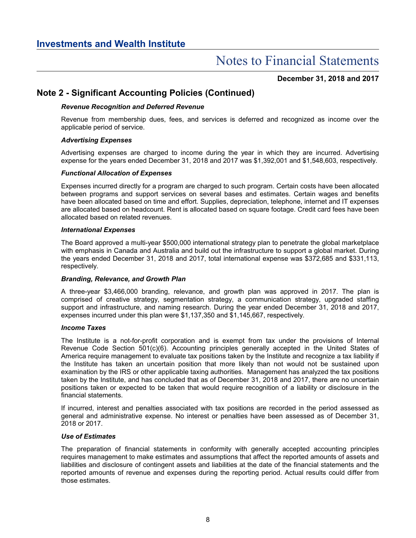**December 31, 2018 and 2017**

## **Note 2 - Significant Accounting Policies (Continued)**

### *Revenue Recognition and Deferred Revenue*

Revenue from membership dues, fees, and services is deferred and recognized as income over the applicable period of service.

### *Advertising Expenses*

Advertising expenses are charged to income during the year in which they are incurred. Advertising expense for the years ended December 31, 2018 and 2017 was \$1,392,001 and \$1,548,603, respectively.

### *Functional Allocation of Expenses*

Expenses incurred directly for a program are charged to such program. Certain costs have been allocated between programs and support services on several bases and estimates. Certain wages and benefits have been allocated based on time and effort. Supplies, depreciation, telephone, internet and IT expenses are allocated based on headcount. Rent is allocated based on square footage. Credit card fees have been allocated based on related revenues.

### *International Expenses*

The Board approved a multi-year \$500,000 international strategy plan to penetrate the global marketplace with emphasis in Canada and Australia and build out the infrastructure to support a global market. During the years ended December 31, 2018 and 2017, total international expense was \$372,685 and \$331,113, respectively.

### *Branding, Relevance, and Growth Plan*

A three-year \$3,466,000 branding, relevance, and growth plan was approved in 2017. The plan is comprised of creative strategy, segmentation strategy, a communication strategy, upgraded staffing support and infrastructure, and naming research. During the year ended December 31, 2018 and 2017, expenses incurred under this plan were \$1,137,350 and \$1,145,667, respectively.

### *Income Taxes*

The Institute is a not-for-profit corporation and is exempt from tax under the provisions of Internal Revenue Code Section 501(c)(6). Accounting principles generally accepted in the United States of America require management to evaluate tax positions taken by the Institute and recognize a tax liability if the Institute has taken an uncertain position that more likely than not would not be sustained upon examination by the IRS or other applicable taxing authorities. Management has analyzed the tax positions taken by the Institute, and has concluded that as of December 31, 2018 and 2017, there are no uncertain positions taken or expected to be taken that would require recognition of a liability or disclosure in the financial statements.

If incurred, interest and penalties associated with tax positions are recorded in the period assessed as general and administrative expense. No interest or penalties have been assessed as of December 31, 2018 or 2017.

### *Use of Estimates*

The preparation of financial statements in conformity with generally accepted accounting principles requires management to make estimates and assumptions that affect the reported amounts of assets and liabilities and disclosure of contingent assets and liabilities at the date of the financial statements and the reported amounts of revenue and expenses during the reporting period. Actual results could differ from those estimates.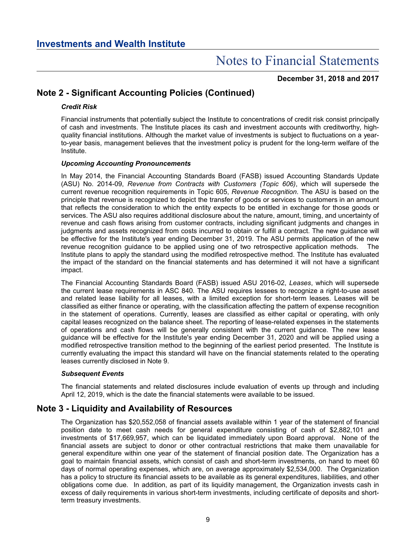**December 31, 2018 and 2017**

## **Note 2 - Significant Accounting Policies (Continued)**

### *Credit Risk*

Financial instruments that potentially subject the Institute to concentrations of credit risk consist principally of cash and investments. The Institute places its cash and investment accounts with creditworthy, highquality financial institutions. Although the market value of investments is subject to fluctuations on a yearto-year basis, management believes that the investment policy is prudent for the long-term welfare of the Institute.

### *Upcoming Accounting Pronouncements*

In May 2014, the Financial Accounting Standards Board (FASB) issued Accounting Standards Update (ASU) No. 2014-09, *Revenue from Contracts with Customers (Topic 606)*, which will supersede the current revenue recognition requirements in Topic 605, *Revenue Recognition*. The ASU is based on the principle that revenue is recognized to depict the transfer of goods or services to customers in an amount that reflects the consideration to which the entity expects to be entitled in exchange for those goods or services. The ASU also requires additional disclosure about the nature, amount, timing, and uncertainty of revenue and cash flows arising from customer contracts, including significant judgments and changes in judgments and assets recognized from costs incurred to obtain or fulfill a contract. The new guidance will be effective for the Institute's year ending December 31, 2019. The ASU permits application of the new revenue recognition guidance to be applied using one of two retrospective application methods. The Institute plans to apply the standard using the modified retrospective method. The Institute has evaluated the impact of the standard on the financial statements and has determined it will not have a significant impact.

The Financial Accounting Standards Board (FASB) issued ASU 2016-02, *Leases*, which will supersede the current lease requirements in ASC 840. The ASU requires lessees to recognize a right-to-use asset and related lease liability for all leases, with a limited exception for short-term leases. Leases will be classified as either finance or operating, with the classification affecting the pattern of expense recognition in the statement of operations. Currently, leases are classified as either capital or operating, with only capital leases recognized on the balance sheet. The reporting of lease-related expenses in the statements of operations and cash flows will be generally consistent with the current guidance. The new lease guidance will be effective for the Institute's year ending December 31, 2020 and will be applied using a modified retrospective transition method to the beginning of the earliest period presented. The Institute is currently evaluating the impact this standard will have on the financial statements related to the operating leases currently disclosed in Note 9.

### *Subsequent Events*

The financial statements and related disclosures include evaluation of events up through and including April 12, 2019, which is the date the financial statements were available to be issued.

## **Note 3 - Liquidity and Availability of Resources**

The Organization has \$20,552,058 of financial assets available within 1 year of the statement of financial position date to meet cash needs for general expenditure consisting of cash of \$2,882,101 and investments of \$17,669,957, which can be liquidated immediately upon Board approval. None of the financial assets are subject to donor or other contractual restrictions that make them unavailable for general expenditure within one year of the statement of financial position date. The Organization has a goal to maintain financial assets, which consist of cash and short-term investments, on hand to meet 60 days of normal operating expenses, which are, on average approximately \$2,534,000. The Organization has a policy to structure its financial assets to be available as its general expenditures, liabilities, and other obligations come due. In addition, as part of its liquidity management, the Organization invests cash in excess of daily requirements in various short-term investments, including certificate of deposits and shortterm treasury investments.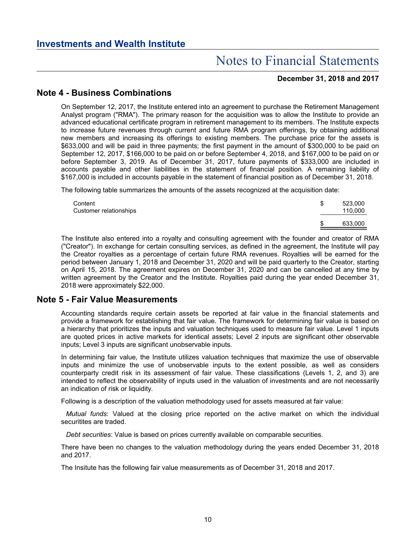### **December 31, 2018 and 2017**

## **Note 4 - Business Combinations**

On September 12, 2017, the Institute entered into an agreement to purchase the Retirement Management Analyst program ("RMA"). The primary reason for the acquisition was to allow the Institute to provide an advanced educational certificate program in retirement management to its members. The Institute expects to increase future revenues through current and future RMA program offerings, by obtaining additional new members and increasing its offerings to existing members. The purchase price for the assets is \$633,000 and will be paid in three payments; the first payment in the amount of \$300,000 to be paid on September 12, 2017, \$166,000 to be paid on or before September 4, 2018, and \$167,000 to be paid on or before September 3, 2019. As of December 31, 2017, future payments of \$333,000 are included in accounts payable and other liabilities in the statement of financial position. A remaining liability of \$167,000 is included in accounts payable in the statement of financial position as of December 31, 2018.

The following table summarizes the amounts of the assets recognized at the acquisition date:

| Content<br>Customer relationships | 523,000<br>110.000 |
|-----------------------------------|--------------------|
|                                   | 633,000            |

The Institute also entered into a royalty and consulting agreement with the founder and creator of RMA ("Creator"). In exchange for certain consulting services, as defined in the agreement, the Institute will pay the Creator royalties as a percentage of certain future RMA revenues. Royalties will be earned for the period between January 1, 2018 and December 31, 2020 and will be paid quarterly to the Creator, starting on April 15, 2018. The agreement expires on December 31, 2020 and can be cancelled at any time by written agreement by the Creator and the Institute. Royalties paid during the year ended December 31, 2018 were approximately \$22,000.

### **Note 5 - Fair Value Measurements**

Accounting standards require certain assets be reported at fair value in the financial statements and provide a framework for establishing that fair value. The framework for determining fair value is based on a hierarchy that prioritizes the inputs and valuation techniques used to measure fair value. Level 1 inputs are quoted prices in active markets for identical assets; Level 2 inputs are significant other observable inputs; Level 3 inputs are significant unobservable inputs.

In determining fair value, the Institute utilizes valuation techniques that maximize the use of observable inputs and minimize the use of unobservable inputs to the extent possible, as well as considers counterparty credit risk in its assessment of fair value. These classifications (Levels 1, 2, and 3) are intended to reflect the observability of inputs used in the valuation of investments and are not necessarily an indication of risk or liquidity.

Following is a description of the valuation methodology used for assets measured at fair value:

*Mutual funds*: Valued at the closing price reported on the active market on which the individual securitites are traded.

*Debt securities*: Value is based on prices currently available on comparable securities.

There have been no changes to the valuation methodology during the years ended December 31, 2018 and 2017.

The Insitute has the following fair value measurements as of December 31, 2018 and 2017.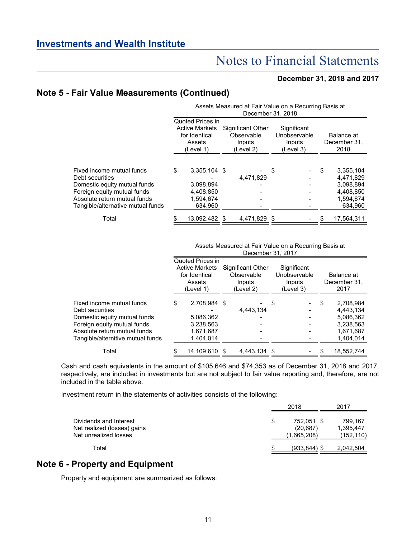### **December 31, 2018 and 2017**

## **Note 5 - Fair Value Measurements (Continued)**

|                                                                                                                                                                                  |                                                                                   |                                                                | Assets Measured at Fair Value on a Recurring Basis at<br>December 31, 2018 |                                                    |                                                                                |
|----------------------------------------------------------------------------------------------------------------------------------------------------------------------------------|-----------------------------------------------------------------------------------|----------------------------------------------------------------|----------------------------------------------------------------------------|----------------------------------------------------|--------------------------------------------------------------------------------|
|                                                                                                                                                                                  | Quoted Prices in<br><b>Active Markets</b><br>for Identical<br>Assets<br>(Level 1) |                                                                | <b>Significant Other</b><br>Observable<br>Inputs<br>(Level 2)              | Significant<br>Unobservable<br>Inputs<br>(Level 3) | Balance at<br>December 31,<br>2018                                             |
| Fixed income mutual funds<br>Debt securities<br>Domestic equity mutual funds<br>Foreign equity mutual funds<br>Absolute return mutual funds<br>Tangible/alternative mutual funds | \$                                                                                | 3,355,104 \$<br>3,098,894<br>4,408,850<br>1,594,674<br>634,960 | 4.471.829                                                                  | \$                                                 | \$<br>3,355,104<br>4.471.829<br>3,098,894<br>4.408.850<br>1,594,674<br>634,960 |
| Total                                                                                                                                                                            |                                                                                   | 13,092,482 \$                                                  | 4,471,829 \$                                                               |                                                    | 17,564,311                                                                     |

Assets Measured at Fair Value on a Recurring Basis at December 31, 2017

|                                              | Quoted Prices in<br><b>Active Markets</b><br>for Identical<br>Assets<br>(Level 1) | Significant Other<br>Observable<br>Inputs<br>(Level 2) | Significant<br>Unobservable<br>Inputs<br>(Level 3) | Balance at<br>December 31,<br>2017 |
|----------------------------------------------|-----------------------------------------------------------------------------------|--------------------------------------------------------|----------------------------------------------------|------------------------------------|
| Fixed income mutual funds<br>Debt securities | \$<br>2,708,984 \$                                                                | 4.443.134                                              | \$                                                 | \$<br>2.708.984<br>4,443,134       |
| Domestic equity mutual funds                 | 5,086,362                                                                         |                                                        |                                                    | 5,086,362                          |
| Foreign equity mutual funds                  | 3,238,563                                                                         |                                                        |                                                    | 3,238,563                          |
| Absolute return mutual funds                 | 1,671,687                                                                         |                                                        |                                                    | 1,671,687                          |
| Tangible/alternitive mutual funds            | 1,404,014                                                                         |                                                        |                                                    | 1,404,014                          |
| Total                                        | 14,109,610                                                                        | 4.443.134 \$                                           |                                                    | 18,552,744                         |

Cash and cash equivalents in the amount of \$105,646 and \$74,353 as of December 31, 2018 and 2017, respectively, are included in investments but are not subject to fair value reporting and, therefore, are not included in the table above.

Investment return in the statements of activities consists of the following:

|                                                                                |   | 2018                                   | 2017                               |
|--------------------------------------------------------------------------------|---|----------------------------------------|------------------------------------|
| Dividends and Interest<br>Net realized (losses) gains<br>Net unrealized losses | S | 752.051 \$<br>(20, 687)<br>(1,665,208) | 799.167<br>1,395,447<br>(152, 110) |
| Total                                                                          | S | $(933.844)$ \$                         | 2,042,504                          |

## **Note 6 - Property and Equipment**

Property and equipment are summarized as follows: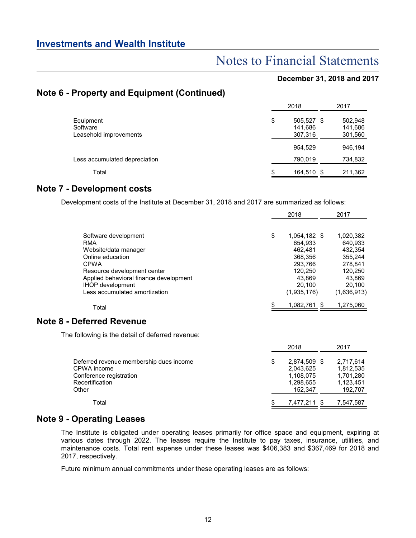## Notes to Financial Statements

### **December 31, 2018 and 2017**

## **Note 6 - Property and Equipment (Continued)**

|                                                 | 2018                                   | 2017                          |
|-------------------------------------------------|----------------------------------------|-------------------------------|
| Equipment<br>Software<br>Leasehold improvements | \$<br>505,527 \$<br>141,686<br>307,316 | 502,948<br>141,686<br>301,560 |
|                                                 | 954,529                                | 946.194                       |
| Less accumulated depreciation                   | 790,019                                | 734,832                       |
| Total                                           | \$<br>164,510 \$                       | 211,362                       |

## **Note 7 - Development costs**

Development costs of the Institute at December 31, 2018 and 2017 are summarized as follows:

|                                                  | 2018 |                 | 2017        |  |
|--------------------------------------------------|------|-----------------|-------------|--|
|                                                  |      |                 |             |  |
| Software development                             | \$   | 1,054,182 \$    | 1,020,382   |  |
| <b>RMA</b>                                       |      | 654,933         | 640,933     |  |
| Website/data manager                             |      | 462,481         | 432,354     |  |
| Online education                                 |      | 368,356         | 355,244     |  |
| <b>CPWA</b>                                      |      | 293,766         | 278,841     |  |
| Resource development center                      |      | 120,250         | 120,250     |  |
| Applied behavioral finance development           |      | 43,869          | 43,869      |  |
| <b>IHOP</b> development                          |      | 20,100          | 20,100      |  |
| Less accumulated amortization                    |      | (1,935,176)     | (1,636,913) |  |
| Total                                            |      | 1,082,761 \$    | 1,275,060   |  |
| <b>Note 8 - Deferred Revenue</b>                 |      |                 |             |  |
| The following is the detail of deferred revenue: |      |                 |             |  |
|                                                  |      | 2018            | 2017        |  |
| Deferred revenue membership dues income          | \$   | 2,874,509 \$    | 2,717,614   |  |
| CPWA income                                      |      | 2,043,625       | 1,812,535   |  |
| Conference registration                          |      | 1,108,075       | 1,701,280   |  |
| Recertification                                  |      | 1,298,655       | 1,123,451   |  |
| Other                                            |      | 152,347         | 192,707     |  |
| Total                                            | P    | 7,477,211<br>S. | 7,547,587   |  |

## **Note 9 - Operating Leases**

The Institute is obligated under operating leases primarily for office space and equipment, expiring at various dates through 2022. The leases require the Institute to pay taxes, insurance, utilities, and maintenance costs. Total rent expense under these leases was \$406,383 and \$367,469 for 2018 and 2017, respectively.

Future minimum annual commitments under these operating leases are as follows: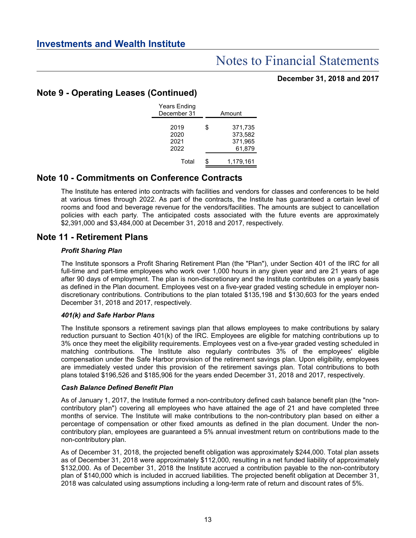### **December 31, 2018 and 2017**

## **Note 9 - Operating Leases (Continued)**

| <b>Years Ending</b><br>December 31 | Amount                                        |
|------------------------------------|-----------------------------------------------|
| 2019<br>2020<br>2021<br>2022       | \$<br>371,735<br>373,582<br>371,965<br>61,879 |
| Total                              | \$<br>1,179,161                               |

## **Note 10 - Commitments on Conference Contracts**

The Institute has entered into contracts with facilities and vendors for classes and conferences to be held at various times through 2022. As part of the contracts, the Institute has guaranteed a certain level of rooms and food and beverage revenue for the vendors/facilities. The amounts are subject to cancellation policies with each party. The anticipated costs associated with the future events are approximately \$2,391,000 and \$3,484,000 at December 31, 2018 and 2017, respectively.

## **Note 11 - Retirement Plans**

### *Profit Sharing Plan*

The Institute sponsors a Profit Sharing Retirement Plan (the "Plan"), under Section 401 of the IRC for all full-time and part-time employees who work over 1,000 hours in any given year and are 21 years of age after 90 days of employment. The plan is non-discretionary and the Institute contributes on a yearly basis as defined in the Plan document. Employees vest on a five-year graded vesting schedule in employer nondiscretionary contributions. Contributions to the plan totaled \$135,198 and \$130,603 for the years ended December 31, 2018 and 2017, respectively.

### *401(k) and Safe Harbor Plans*

The Institute sponsors a retirement savings plan that allows employees to make contributions by salary reduction pursuant to Section 401(k) of the IRC. Employees are eligible for matching contributions up to 3% once they meet the eligibility requirements. Employees vest on a five-year graded vesting scheduled in matching contributions. The Institute also regularly contributes 3% of the employees' eligible compensation under the Safe Harbor provision of the retirement savings plan. Upon eligibility, employees are immediately vested under this provision of the retirement savings plan. Total contributions to both plans totaled \$196,526 and \$185,906 for the years ended December 31, 2018 and 2017, respectively.

### *Cash Balance Defined Benefit Plan*

As of January 1, 2017, the Institute formed a non-contributory defined cash balance benefit plan (the "noncontributory plan") covering all employees who have attained the age of 21 and have completed three months of service. The Institute will make contributions to the non-contributory plan based on either a percentage of compensation or other fixed amounts as defined in the plan document. Under the noncontributory plan, employees are guaranteed a 5% annual investment return on contributions made to the non-contributory plan.

As of December 31, 2018, the projected benefit obligation was approximately \$244,000. Total plan assets as of December 31, 2018 were approximately \$112,000, resulting in a net funded liability of approximately \$132,000. As of December 31, 2018 the Institute accrued a contribution payable to the non-contributory plan of \$140,000 which is included in accrued liabilities. The projected benefit obligation at December 31, 2018 was calculated using assumptions including a long-term rate of return and discount rates of 5%.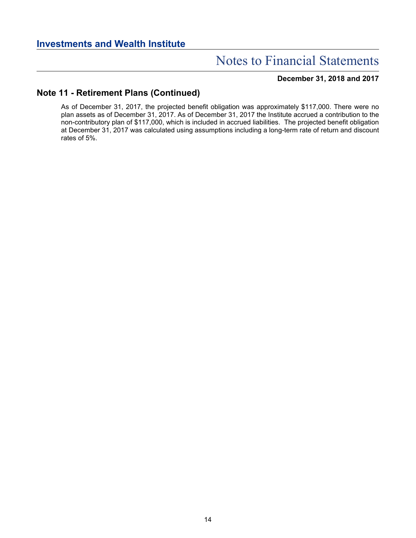### **December 31, 2018 and 2017**

## **Note 11 - Retirement Plans (Continued)**

As of December 31, 2017, the projected benefit obligation was approximately \$117,000. There were no plan assets as of December 31, 2017. As of December 31, 2017 the Institute accrued a contribution to the non-contributory plan of \$117,000, which is included in accrued liabilities. The projected benefit obligation at December 31, 2017 was calculated using assumptions including a long-term rate of return and discount rates of 5%.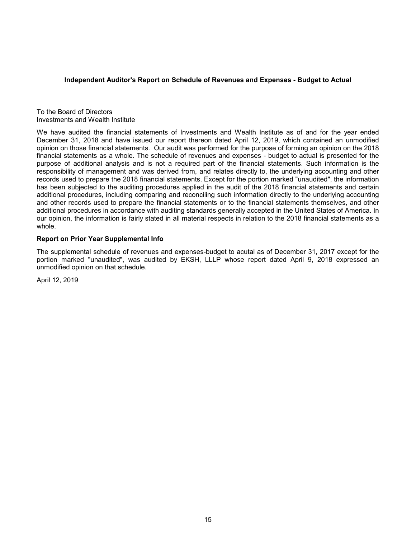#### **Independent Auditor's Report on Schedule of Revenues and Expenses - Budget to Actual**

To the Board of Directors Investments and Wealth Institute

We have audited the financial statements of Investments and Wealth Institute as of and for the year ended December 31, 2018 and have issued our report thereon dated April 12, 2019, which contained an unmodified opinion on those financial statements. Our audit was performed for the purpose of forming an opinion on the 2018 financial statements as a whole. The schedule of revenues and expenses - budget to actual is presented for the purpose of additional analysis and is not a required part of the financial statements. Such information is the responsibility of management and was derived from, and relates directly to, the underlying accounting and other records used to prepare the 2018 financial statements. Except for the portion marked "unaudited", the information has been subjected to the auditing procedures applied in the audit of the 2018 financial statements and certain additional procedures, including comparing and reconciling such information directly to the underlying accounting and other records used to prepare the financial statements or to the financial statements themselves, and other additional procedures in accordance with auditing standards generally accepted in the United States of America. In our opinion, the information is fairly stated in all material respects in relation to the 2018 financial statements as a whole.

#### **Report on Prior Year Supplemental Info**

The supplemental schedule of revenues and expenses-budget to acutal as of December 31, 2017 except for the portion marked "unaudited", was audited by EKSH, LLLP whose report dated April 9, 2018 expressed an unmodified opinion on that schedule.

April 12, 2019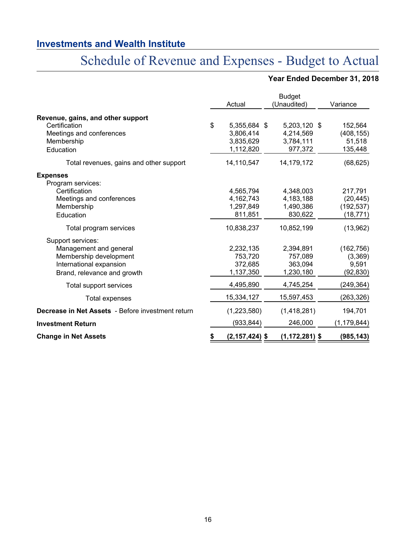# Schedule of Revenue and Expenses - Budget to Actual

## **Year Ended December 31, 2018**

|                                                                                                                                 | Actual |                                                     |  | <b>Budget</b><br>(Unaudited)                      |  | Variance                                        |  |
|---------------------------------------------------------------------------------------------------------------------------------|--------|-----------------------------------------------------|--|---------------------------------------------------|--|-------------------------------------------------|--|
| Revenue, gains, and other support<br>Certification<br>Meetings and conferences<br>Membership<br>Education                       | \$     | 5,355,684 \$<br>3,806,414<br>3,835,629<br>1,112,820 |  | 5,203,120 \$<br>4,214,569<br>3,784,111<br>977,372 |  | 152,564<br>(408, 155)<br>51,518<br>135,448      |  |
| Total revenues, gains and other support                                                                                         |        | 14,110,547                                          |  | 14,179,172                                        |  | (68, 625)                                       |  |
| <b>Expenses</b><br>Program services:                                                                                            |        |                                                     |  |                                                   |  |                                                 |  |
| Certification<br>Meetings and conferences<br>Membership<br>Education                                                            |        | 4,565,794<br>4,162,743<br>1,297,849<br>811,851      |  | 4,348,003<br>4,183,188<br>1,490,386<br>830,622    |  | 217,791<br>(20, 445)<br>(192, 537)<br>(18, 771) |  |
| Total program services                                                                                                          |        | 10,838,237                                          |  | 10,852,199                                        |  | (13,962)                                        |  |
| Support services:<br>Management and general<br>Membership development<br>International expansion<br>Brand, relevance and growth |        | 2,232,135<br>753,720<br>372,685<br>1,137,350        |  | 2,394,891<br>757,089<br>363,094<br>1,230,180      |  | (162, 756)<br>(3,369)<br>9,591<br>(92, 830)     |  |
| Total support services                                                                                                          |        | 4,495,890                                           |  | 4,745,254                                         |  | (249,364)                                       |  |
| Total expenses                                                                                                                  |        | 15,334,127                                          |  | 15,597,453                                        |  | (263, 326)                                      |  |
| Decrease in Net Assets - Before investment return                                                                               |        | (1,223,580)                                         |  | (1,418,281)                                       |  | 194,701                                         |  |
| <b>Investment Return</b>                                                                                                        |        | (933,844)                                           |  | 246,000                                           |  | (1, 179, 844)                                   |  |
| <b>Change in Net Assets</b>                                                                                                     |        | $(2, 157, 424)$ \$                                  |  | $(1, 172, 281)$ \$                                |  | (985,143)                                       |  |